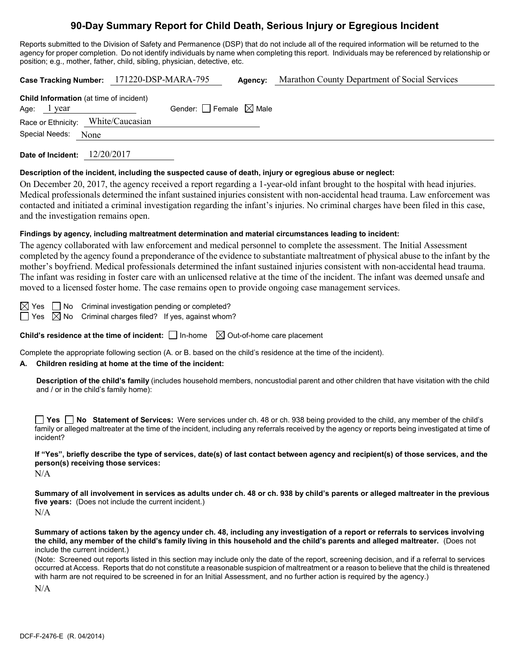# **90-Day Summary Report for Child Death, Serious Injury or Egregious Incident**

Reports submitted to the Division of Safety and Permanence (DSP) that do not include all of the required information will be returned to the agency for proper completion. Do not identify individuals by name when completing this report. Individuals may be referenced by relationship or position; e.g., mother, father, child, sibling, physician, detective, etc.

|                                                                 | Case Tracking Number: 171220-DSP-MARA-795 | Agency: | Marathon County Department of Social Services |
|-----------------------------------------------------------------|-------------------------------------------|---------|-----------------------------------------------|
| <b>Child Information</b> (at time of incident)<br>Age: $1$ year | Gender: Female $\boxtimes$ Male           |         |                                               |
| Race or Ethnicity: White/Caucasian                              |                                           |         |                                               |
| Special Needs: None                                             |                                           |         |                                               |
| Date of Incident: 12/20/2017                                    |                                           |         |                                               |

#### **Description of the incident, including the suspected cause of death, injury or egregious abuse or neglect:**

On December 20, 2017, the agency received a report regarding a 1-year-old infant brought to the hospital with head injuries. Medical professionals determined the infant sustained injuries consistent with non-accidental head trauma. Law enforcement was contacted and initiated a criminal investigation regarding the infant's injuries. No criminal charges have been filed in this case, and the investigation remains open.

#### **Findings by agency, including maltreatment determination and material circumstances leading to incident:**

The agency collaborated with law enforcement and medical personnel to complete the assessment. The Initial Assessment completed by the agency found a preponderance of the evidence to substantiate maltreatment of physical abuse to the infant by the mother's boyfriend. Medical professionals determined the infant sustained injuries consistent with non-accidental head trauma. The infant was residing in foster care with an unlicensed relative at the time of the incident. The infant was deemed unsafe and moved to a licensed foster home. The case remains open to provide ongoing case management services.

 $\boxtimes$  Yes  $\Box$  No Criminal investigation pending or completed?

 $\Box$  Yes  $\boxtimes$  No Criminal charges filed? If yes, against whom?

**Child's residence at the time of incident:**  $\Box$  In-home  $\Box$  Out-of-home care placement

Complete the appropriate following section (A. or B. based on the child's residence at the time of the incident).

## **A. Children residing at home at the time of the incident:**

**Description of the child's family** (includes household members, noncustodial parent and other children that have visitation with the child and / or in the child's family home):

**Yes No Statement of Services:** Were services under ch. 48 or ch. 938 being provided to the child, any member of the child's family or alleged maltreater at the time of the incident, including any referrals received by the agency or reports being investigated at time of incident?

**If "Yes", briefly describe the type of services, date(s) of last contact between agency and recipient(s) of those services, and the person(s) receiving those services:**

N/A

**Summary of all involvement in services as adults under ch. 48 or ch. 938 by child's parents or alleged maltreater in the previous five years:** (Does not include the current incident.) N/A

**Summary of actions taken by the agency under ch. 48, including any investigation of a report or referrals to services involving the child, any member of the child's family living in this household and the child's parents and alleged maltreater.** (Does not include the current incident.)

(Note: Screened out reports listed in this section may include only the date of the report, screening decision, and if a referral to services occurred at Access. Reports that do not constitute a reasonable suspicion of maltreatment or a reason to believe that the child is threatened with harm are not required to be screened in for an Initial Assessment, and no further action is required by the agency.)

N/A